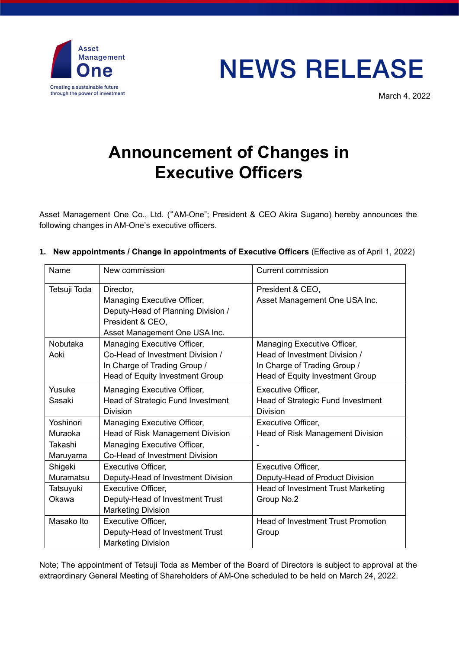

## **NEWS RELEASE**

March 4, 2022

## **Announcement of Changes in Executive Officers**

Asset Management One Co., Ltd. ("AM-One"; President & CEO Akira Sugano) hereby announces the following changes in AM-One's executive officers.

## **1. New appointments / Change in appointments of Executive Officers** (Effective as of April 1, 2022)

| Name         | New commission                     | <b>Current commission</b>                 |
|--------------|------------------------------------|-------------------------------------------|
| Tetsuji Toda | Director,                          | President & CEO,                          |
|              | Managing Executive Officer,        | Asset Management One USA Inc.             |
|              | Deputy-Head of Planning Division / |                                           |
|              | President & CEO.                   |                                           |
|              | Asset Management One USA Inc.      |                                           |
| Nobutaka     | Managing Executive Officer,        | Managing Executive Officer,               |
| Aoki         | Co-Head of Investment Division /   | Head of Investment Division /             |
|              | In Charge of Trading Group /       | In Charge of Trading Group /              |
|              | Head of Equity Investment Group    | Head of Equity Investment Group           |
| Yusuke       | Managing Executive Officer,        | <b>Executive Officer,</b>                 |
| Sasaki       | Head of Strategic Fund Investment  | Head of Strategic Fund Investment         |
|              | <b>Division</b>                    | <b>Division</b>                           |
| Yoshinori    | Managing Executive Officer,        | Executive Officer,                        |
| Muraoka      | Head of Risk Management Division   | Head of Risk Management Division          |
| Takashi      | Managing Executive Officer,        |                                           |
| Maruyama     | Co-Head of Investment Division     |                                           |
| Shigeki      | <b>Executive Officer,</b>          | Executive Officer,                        |
| Muramatsu    | Deputy-Head of Investment Division | Deputy-Head of Product Division           |
| Tatsuyuki    | <b>Executive Officer,</b>          | Head of Investment Trust Marketing        |
| Okawa        | Deputy-Head of Investment Trust    | Group No.2                                |
|              | <b>Marketing Division</b>          |                                           |
| Masako Ito   | Executive Officer,                 | <b>Head of Investment Trust Promotion</b> |
|              | Deputy-Head of Investment Trust    | Group                                     |
|              | <b>Marketing Division</b>          |                                           |

Note; The appointment of Tetsuji Toda as Member of the Board of Directors is subject to approval at the extraordinary General Meeting of Shareholders of AM-One scheduled to be held on March 24, 2022.